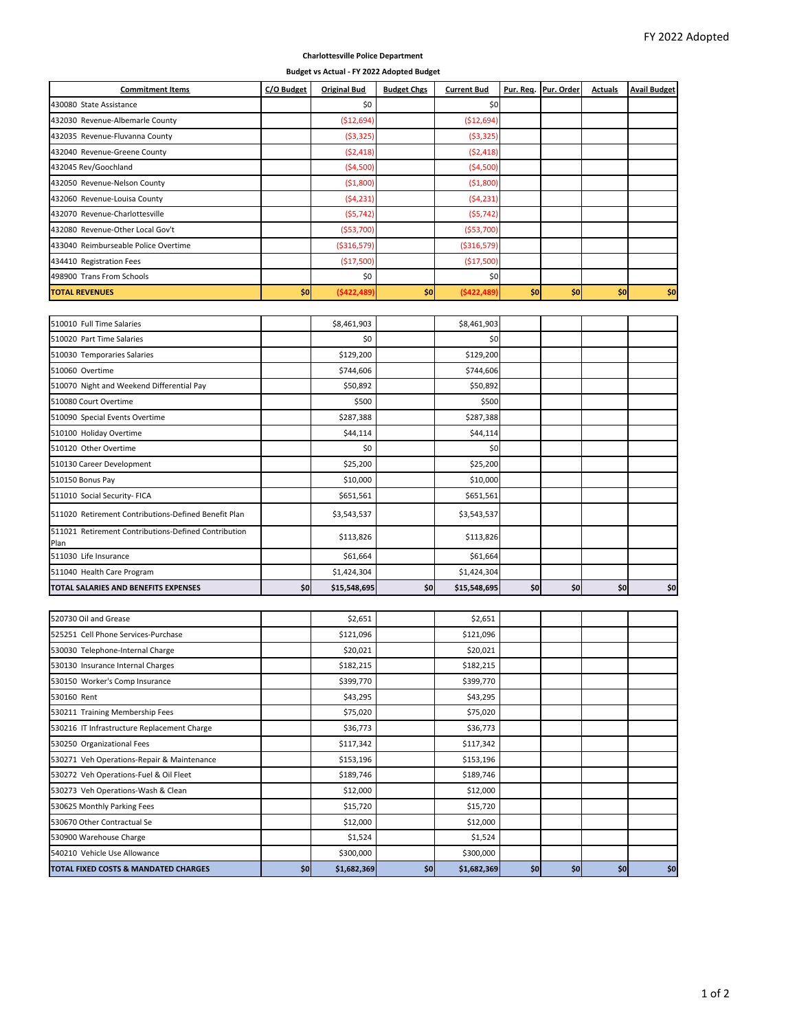## **Charlottesville Police Department**

**Budget vs Actual ‐ FY 2022 Adopted Budget**

State Assistance \$0 \$0

**Commitment Items C/O Budget Original Bud Budget Chgs Current Bud Pur. Req. Pur. Order Actuals Avail Budget**

| 432030 Revenue-Albemarle County                              |     | (\$12,694)   |     | ( \$12,694)   |     |     |     |     |  |  |  |
|--------------------------------------------------------------|-----|--------------|-----|---------------|-----|-----|-----|-----|--|--|--|
| 432035 Revenue-Fluvanna County                               |     | ( \$3,325)   |     | ( \$3,325]    |     |     |     |     |  |  |  |
| 432040 Revenue-Greene County                                 |     | (52, 418)    |     | (52, 418)     |     |     |     |     |  |  |  |
| 432045 Rev/Goochland                                         |     | ( \$4,500)   |     | ( \$4,500]    |     |     |     |     |  |  |  |
| 432050 Revenue-Nelson County                                 |     | ( \$1,800)   |     | ( \$1,800]    |     |     |     |     |  |  |  |
| 432060 Revenue-Louisa County                                 |     | (54, 231)    |     | (54, 231)     |     |     |     |     |  |  |  |
| 432070 Revenue-Charlottesville                               |     | $($ \$5,742) |     | (55, 742)     |     |     |     |     |  |  |  |
| 432080 Revenue-Other Local Gov't                             |     | (\$53,700)   |     | ( \$53,700]   |     |     |     |     |  |  |  |
| 433040 Reimburseable Police Overtime                         |     | (\$316,579)  |     | ( \$316, 579] |     |     |     |     |  |  |  |
| 434410 Registration Fees                                     |     | ( \$17,500]  |     | ( \$17,500]   |     |     |     |     |  |  |  |
| 498900 Trans From Schools                                    |     | \$0          |     | \$0           |     |     |     |     |  |  |  |
| <b>TOTAL REVENUES</b>                                        | \$0 | (\$422,489   | \$0 | (\$422,489    | \$0 | \$0 | \$0 | \$0 |  |  |  |
|                                                              |     |              |     |               |     |     |     |     |  |  |  |
| 510010 Full Time Salaries                                    |     | \$8,461,903  |     | \$8,461,903   |     |     |     |     |  |  |  |
| 510020 Part Time Salaries                                    |     | \$0          |     | \$0           |     |     |     |     |  |  |  |
| 510030 Temporaries Salaries                                  |     | \$129,200    |     | \$129,200     |     |     |     |     |  |  |  |
| 510060 Overtime                                              |     | \$744,606    |     | \$744,606     |     |     |     |     |  |  |  |
| 510070 Night and Weekend Differential Pay                    |     | \$50,892     |     | \$50,892      |     |     |     |     |  |  |  |
| 510080 Court Overtime                                        |     | \$500        |     | \$500         |     |     |     |     |  |  |  |
| 510090 Special Events Overtime                               |     | \$287,388    |     | \$287,388     |     |     |     |     |  |  |  |
| 510100 Holiday Overtime                                      |     | \$44,114     |     | \$44,114      |     |     |     |     |  |  |  |
| 510120 Other Overtime                                        |     | \$0          |     | \$0           |     |     |     |     |  |  |  |
| 510130 Career Development                                    |     | \$25,200     |     | \$25,200      |     |     |     |     |  |  |  |
| 510150 Bonus Pay                                             |     | \$10,000     |     | \$10,000      |     |     |     |     |  |  |  |
| 511010 Social Security- FICA                                 |     | \$651,561    |     | \$651,561     |     |     |     |     |  |  |  |
|                                                              |     |              |     |               |     |     |     |     |  |  |  |
| 511020 Retirement Contributions-Defined Benefit Plan         |     | \$3,543,537  |     | \$3,543,537   |     |     |     |     |  |  |  |
| 511021 Retirement Contributions-Defined Contribution<br>Plan |     | \$113,826    |     | \$113,826     |     |     |     |     |  |  |  |
| 511030 Life Insurance                                        |     | \$61,664     |     | \$61,664      |     |     |     |     |  |  |  |
| 511040 Health Care Program                                   |     | \$1,424,304  |     | \$1,424,304   |     |     |     |     |  |  |  |
| TOTAL SALARIES AND BENEFITS EXPENSES                         | \$0 | \$15,548,695 | \$0 | \$15,548,695  | \$0 | \$0 | \$0 | \$0 |  |  |  |
|                                                              |     |              |     |               |     |     |     |     |  |  |  |
| 520730 Oil and Grease                                        |     | \$2,651      |     | \$2,651       |     |     |     |     |  |  |  |
| 525251 Cell Phone Services-Purchase                          |     | \$121,096    |     | \$121,096     |     |     |     |     |  |  |  |
| 530030 Telephone-Internal Charge                             |     | \$20,021     |     | \$20,021      |     |     |     |     |  |  |  |
| 530130 Insurance Internal Charges                            |     | \$182,215    |     | \$182,215     |     |     |     |     |  |  |  |
| 530150 Worker's Comp Insurance                               |     | \$399,770    |     | \$399,770     |     |     |     |     |  |  |  |
| 530160 Rent                                                  |     | \$43,295     |     | \$43,295      |     |     |     |     |  |  |  |
| 530211 Training Membership Fees                              |     | \$75,020     |     | \$75,020      |     |     |     |     |  |  |  |
| 530216 IT Infrastructure Replacement Charge                  |     | \$36,773     |     | \$36,773      |     |     |     |     |  |  |  |
| 530250 Organizational Fees                                   |     | \$117,342    |     | \$117,342     |     |     |     |     |  |  |  |
| 530271 Veh Operations-Repair & Maintenance                   |     | \$153,196    |     | \$153,196     |     |     |     |     |  |  |  |
| 530272 Veh Operations-Fuel & Oil Fleet                       |     | \$189,746    |     | \$189,746     |     |     |     |     |  |  |  |
| 530273 Veh Operations-Wash & Clean                           |     | \$12,000     |     | \$12,000      |     |     |     |     |  |  |  |
| 530625 Monthly Parking Fees                                  |     | \$15,720     |     | \$15,720      |     |     |     |     |  |  |  |
| 530670 Other Contractual Se                                  |     | \$12,000     |     | \$12,000      |     |     |     |     |  |  |  |
| 530900 Warehouse Charge                                      |     | \$1,524      |     | \$1,524       |     |     |     |     |  |  |  |
| 540210 Vehicle Use Allowance                                 |     | \$300,000    |     | \$300,000     |     |     |     |     |  |  |  |
| TOTAL FIXED COSTS & MANDATED CHARGES                         | \$0 | \$1,682,369  | \$0 | \$1,682,369   | \$0 | \$0 | \$0 | \$0 |  |  |  |